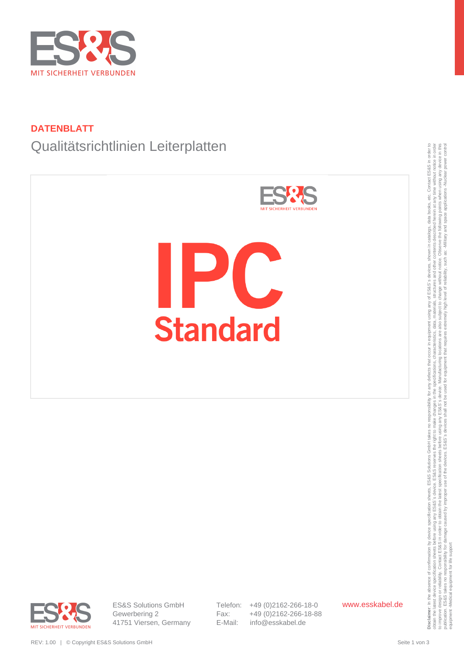

## **DATENBLATT**

# Qualitätsrichtlinien Leiterplatten



obtain the latest device specification sheets before using any ES&S's reserves the right to make changes in the specifications, characteristics, data, materials, structures and other contents described herein at any time w to improve design or reliability. Contact ESS&S in order to obtain the latest specification sheets before using any arge before using any arges before using any arges before the Sales is device. Manufacturing locations, th publication. ES&S takes no responsibility for damage caused by improper use of the devices. ES&S's devices shall not be used for equipment that requires extremely high level of reliability, such as: Alliliary and space app equipment -Medical equipment for life support



ES&S Solutions GmbH Gewerbering 2 41751 Viersen, Germany Telefon: +49 (0)2162-266-18-0 Fax: +49 (0)2162-266-18-88 E-Mail: info@esskabel.de

www.esskabel.de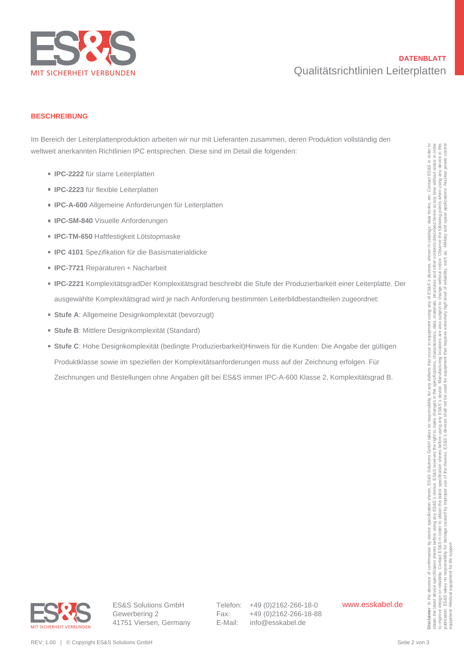

## **DATENBLATT** Qualitätsrichtlinien Leiterplatten

#### **BESCHREIBUNG**

Im Bereich der Leiterplattenproduktion arbeiten wir nur mit Lieferanten zusammen, deren Produktion vollständig den weltweit anerkannten Richtlinien IPC entsprechen. Diese sind im Detail die folgenden:

- **IPC-2222** für starre Leiterplatten
- **IPC-2223** für flexible Leiterplatten
- **IPC-A-600** Allgemeine Anforderungen für Leiterplatten
- **IPC-SM-840** Visuelle Anforderungen
- **IPC-TM-650** Haftfestigkeit Lötstopmaske
- **IPC 4101** Spezifikation für die Basismaterialdicke
- **IPC-7721 Reparaturen + Nacharbeit**
- **IPC-2221** KomplexitätsgradDer Komplexitätsgrad beschreibt die Stufe der Produzierbarkeit einer Leiterplatte. Der ausgewählte Komplexitätsgrad wird je nach Anforderung bestimmten Leiterbildbestandteilen zugeordnet:
- **Stufe A**: Allgemeine Designkomplexität (bevorzugt)
- **Stufe B: Mittlere Designkomplexität (Standard)**
- **Stufe C**: Hohe Designkomplexität (bedingte Produzierbarkeit)Hinweis für die Kunden: Die Angabe der gültigen Produktklasse sowie im speziellen der Komplexitätsanforderungen muss auf der Zeichnung erfolgen. Für Zeichnungen und Bestellungen ohne Angaben gilt bei ES&S immer IPC-A-600 Klasse 2, Komplexitätsgrad B. velkeell aneksannien Richarliche ITC enlacted win . Diese sind in Desisi die Jogenden;<br>
■ IPC-2422 for linnen Lengtheim<br>
■ IPC-2422 for linnen lengtheim<br>
■ IPC-24400 Algorimeire Antonianungen for Lengtheime<br>
■ IPC-4400 Al



ES&S Solutions GmbH Gewerbering 2 41751 Viersen, Germany Telefon: +49 (0)2162-266-18-0 Fax: +49 (0)2162-266-18-88 E-Mail: info@esskabel.de

www.esskabel.de